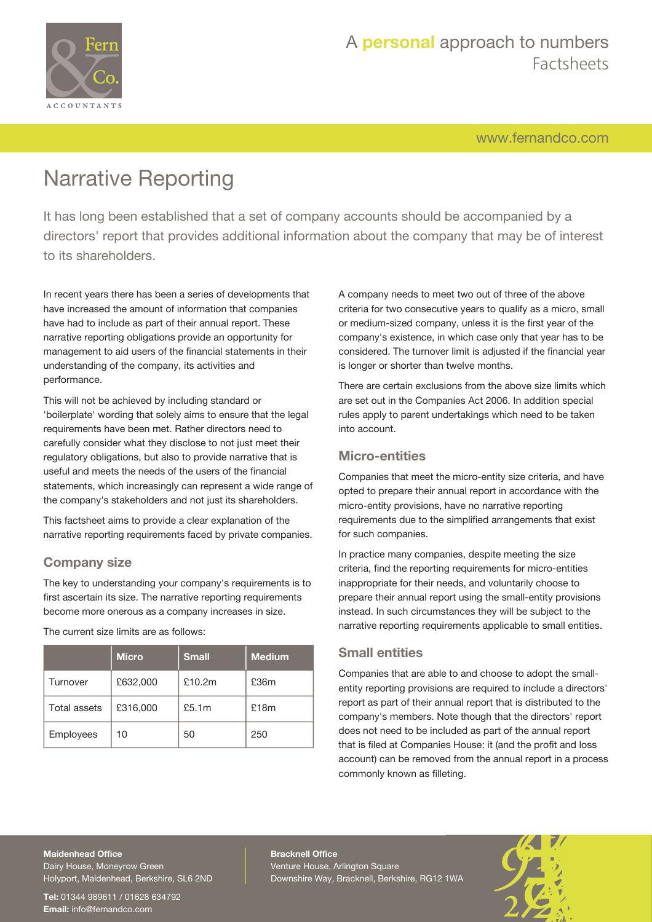

[www.fernandco.com](http://www.fernandco.com)

# Narrative Reporting

It has long been established that a set of company accounts should be accompanied by a directors' report that provides additional information about the company that may be of interest to its shareholders.

In recent years there has been a series of developments that have increased the amount of information that companies have had to include as part of their annual report. These narrative reporting obligations provide an opportunity for management to aid users of the financial statements in their understanding of the company, its activities and performance.

This will not be achieved by including standard or 'boilerplate' wording that solely aims to ensure that the legal requirements have been met. Rather directors need to carefully consider what they disclose to not just meet their regulatory obligations, but also to provide narrative that is useful and meets the needs of the users of the financial statements, which increasingly can represent a wide range of the company's stakeholders and not just its shareholders.

This factsheet aims to provide a clear explanation of the narrative reporting requirements faced by private companies.

### **Company size**

The key to understanding your company's requirements is to first ascertain its size. The narrative reporting requirements become more onerous as a company increases in size.

|                     | <b>Micro</b> | <b>Small</b> | <b>Medium</b> |
|---------------------|--------------|--------------|---------------|
| Turnover            | £632,000     | £10.2m       | £36m          |
| <b>Total assets</b> | £316,000     | £5.1m        | £18m          |
| Employees           | 10           | 50           | 250           |

The current size limits are as follows:

A company needs to meet two out of three of the above criteria for two consecutive years to qualify as a micro, small or medium-sized company, unless it is the first year of the company's existence, in which case only that year has to be considered. The turnover limit is adjusted if the financial year is longer or shorter than twelve months.

There are certain exclusions from the above size limits which are set out in the Companies Act 2006. In addition special rules apply to parent undertakings which need to be taken into account.

### **Micro-entities**

Companies that meet the micro-entity size criteria, and have opted to prepare their annual report in accordance with the micro-entity provisions, have no narrative reporting requirements due to the simplified arrangements that exist for such companies.

In practice many companies, despite meeting the size criteria, find the reporting requirements for micro-entities inappropriate for their needs, and voluntarily choose to prepare their annual report using the small-entity provisions instead. In such circumstances they will be subject to the narrative reporting requirements applicable to small entities.

### **Small entities**

Companies that are able to and choose to adopt the smallentity reporting provisions are required to include a directors' report as part of their annual report that is distributed to the company's members. Note though that the directors' report does not need to be included as part of the annual report that is filed at Companies House: it (and the profit and loss account) can be removed from the annual report in a process commonly known as filleting.

### **Maidenhead Office**

Dairy House, Moneyrow Green Holyport, Maidenhead, Berkshire, SL6 2ND

**Tel:** 01344 989611 / 01628 634792 **Email:** [info@fernandco.com](mailto:info@fernandco.com)

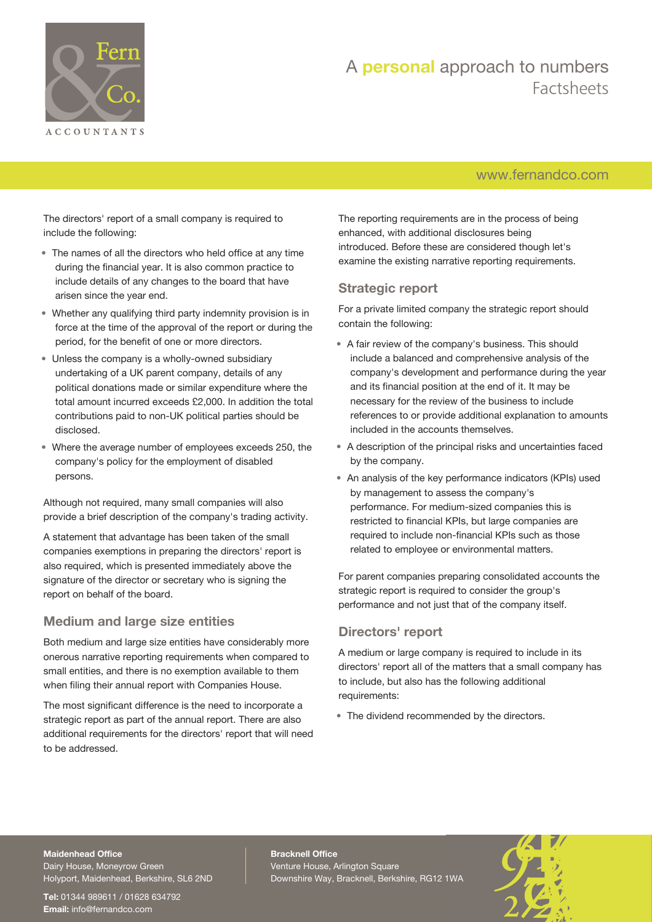

## [www.fernandco.com](http://www.fernandco.com)

The directors' report of a small company is required to include the following:

- The names of all the directors who held office at any time during the financial year. It is also common practice to include details of any changes to the board that have arisen since the year end.
- Whether any qualifying third party indemnity provision is in force at the time of the approval of the report or during the period, for the benefit of one or more directors.
- Unless the company is a wholly-owned subsidiary undertaking of a UK parent company, details of any political donations made or similar expenditure where the total amount incurred exceeds £2,000. In addition the total contributions paid to non-UK political parties should be disclosed.
- Where the average number of employees exceeds 250, the company's policy for the employment of disabled persons.

Although not required, many small companies will also provide a brief description of the company's trading activity.

A statement that advantage has been taken of the small companies exemptions in preparing the directors' report is also required, which is presented immediately above the signature of the director or secretary who is signing the report on behalf of the board.

### **Medium and large size entities**

Both medium and large size entities have considerably more onerous narrative reporting requirements when compared to small entities, and there is no exemption available to them when filing their annual report with Companies House.

The most significant difference is the need to incorporate a strategic report as part of the annual report. There are also additional requirements for the directors' report that will need to be addressed.

The reporting requirements are in the process of being enhanced, with additional disclosures being introduced. Before these are considered though let's examine the existing narrative reporting requirements.

#### **Strategic report**

For a private limited company the strategic report should contain the following:

- A fair review of the company's business. This should include a balanced and comprehensive analysis of the company's development and performance during the year and its financial position at the end of it. It may be necessary for the review of the business to include references to or provide additional explanation to amounts included in the accounts themselves.
- A description of the principal risks and uncertainties faced by the company.
- An analysis of the key performance indicators (KPIs) used by management to assess the company's performance. For medium-sized companies this is restricted to financial KPIs, but large companies are required to include non-financial KPIs such as those related to employee or environmental matters.

For parent companies preparing consolidated accounts the strategic report is required to consider the group's performance and not just that of the company itself.

#### **Directors' report**

A medium or large company is required to include in its directors' report all of the matters that a small company has to include, but also has the following additional requirements:

• The dividend recommended by the directors.

#### **Maidenhead Office**

Dairy House, Moneyrow Green Holyport, Maidenhead, Berkshire, SL6 2ND

**Tel:** 01344 989611 / 01628 634792 **Email:** [info@fernandco.com](mailto:info@fernandco.com)

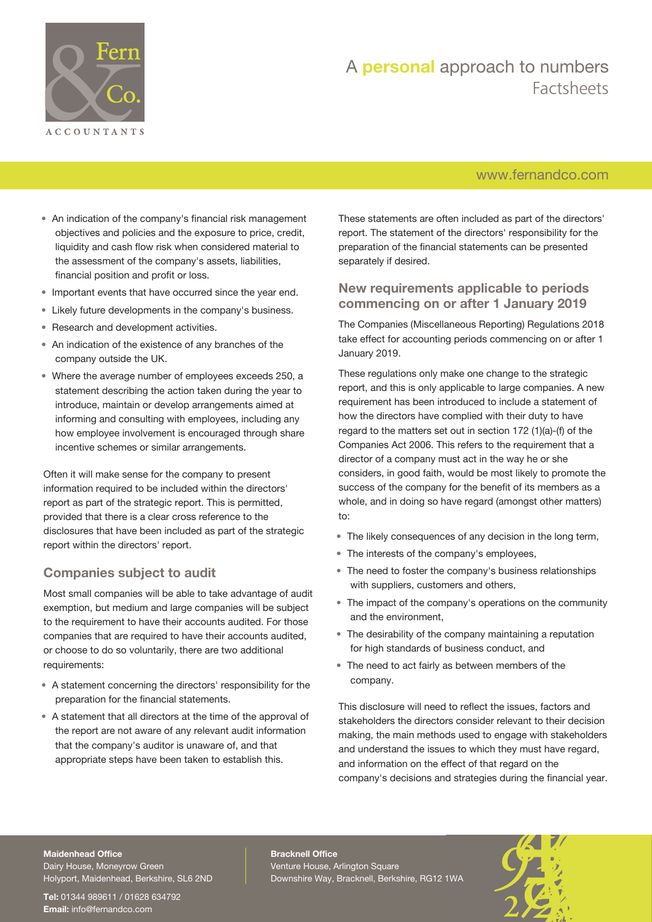

## [www.fernandco.com](http://www.fernandco.com)

- An indication of the company's financial risk management objectives and policies and the exposure to price, credit, liquidity and cash flow risk when considered material to the assessment of the company's assets, liabilities, financial position and profit or loss.
- Important events that have occurred since the year end.
- Likely future developments in the company's business.
- Research and development activities.
- An indication of the existence of any branches of the company outside the UK.
- Where the average number of employees exceeds 250, a statement describing the action taken during the year to introduce, maintain or develop arrangements aimed at informing and consulting with employees, including any how employee involvement is encouraged through share incentive schemes or similar arrangements.

Often it will make sense for the company to present information required to be included within the directors' report as part of the strategic report. This is permitted, provided that there is a clear cross reference to the disclosures that have been included as part of the strategic report within the directors' report.

#### **Companies subject to audit**

Most small companies will be able to take advantage of audit exemption, but medium and large companies will be subject to the requirement to have their accounts audited. For those companies that are required to have their accounts audited, or choose to do so voluntarily, there are two additional requirements:

- A statement concerning the directors' responsibility for the preparation for the financial statements.
- A statement that all directors at the time of the approval of the report are not aware of any relevant audit information that the company's auditor is unaware of, and that appropriate steps have been taken to establish this.

These statements are often included as part of the directors' report. The statement of the directors' responsibility for the preparation of the financial statements can be presented separately if desired.

#### **New requirements applicable to periods commencing on or after 1 January 2019**

The Companies (Miscellaneous Reporting) Regulations 2018 take effect for accounting periods commencing on or after 1 January 2019.

These regulations only make one change to the strategic report, and this is only applicable to large companies. A new requirement has been introduced to include a statement of how the directors have complied with their duty to have regard to the matters set out in section 172 (1)(a)-(f) of the Companies Act 2006. This refers to the requirement that a director of a company must act in the way he or she considers, in good faith, would be most likely to promote the success of the company for the benefit of its members as a whole, and in doing so have regard (amongst other matters) to:

- The likely consequences of any decision in the long term,
- The interests of the company's employees,
- The need to foster the company's business relationships with suppliers, customers and others,
- The impact of the company's operations on the community and the environment,
- The desirability of the company maintaining a reputation for high standards of business conduct, and
- The need to act fairly as between members of the company.

This disclosure will need to reflect the issues, factors and stakeholders the directors consider relevant to their decision making, the main methods used to engage with stakeholders and understand the issues to which they must have regard, and information on the effect of that regard on the company's decisions and strategies during the financial year.

#### **Maidenhead Office**

Dairy House, Moneyrow Green Holyport, Maidenhead, Berkshire, SL6 2ND

**Tel:** 01344 989611 / 01628 634792 **Email:** [info@fernandco.com](mailto:info@fernandco.com)

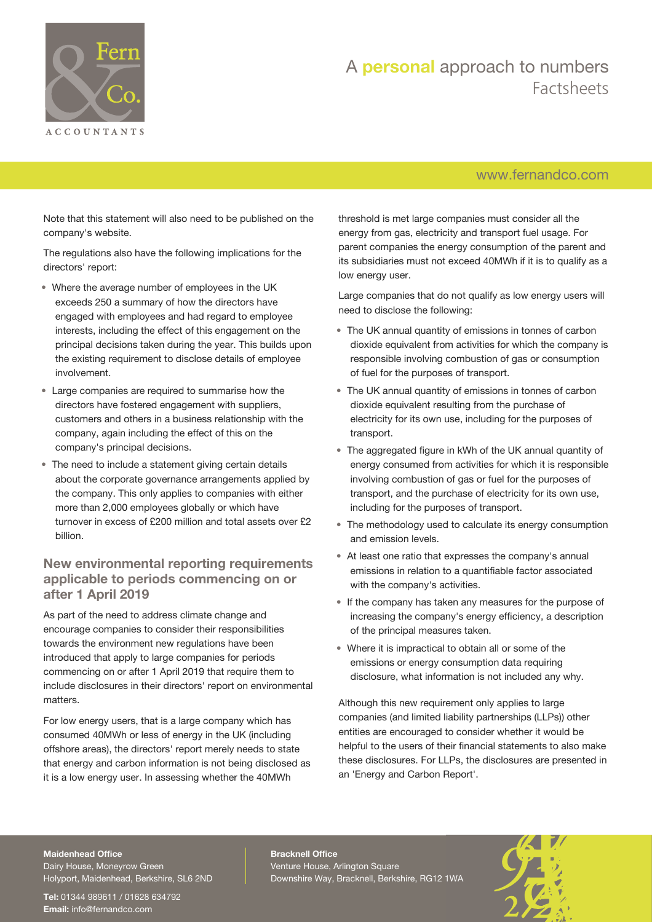

## [www.fernandco.com](http://www.fernandco.com)

Note that this statement will also need to be published on the company's website.

The regulations also have the following implications for the directors' report:

- Where the average number of employees in the UK exceeds 250 a summary of how the directors have engaged with employees and had regard to employee interests, including the effect of this engagement on the principal decisions taken during the year. This builds upon the existing requirement to disclose details of employee involvement.
- Large companies are required to summarise how the directors have fostered engagement with suppliers, customers and others in a business relationship with the company, again including the effect of this on the company's principal decisions.
- The need to include a statement giving certain details about the corporate governance arrangements applied by the company. This only applies to companies with either more than 2,000 employees globally or which have turnover in excess of £200 million and total assets over £2 billion.

### **New environmental reporting requirements applicable to periods commencing on or after 1 April 2019**

As part of the need to address climate change and encourage companies to consider their responsibilities towards the environment new regulations have been introduced that apply to large companies for periods commencing on or after 1 April 2019 that require them to include disclosures in their directors' report on environmental matters.

For low energy users, that is a large company which has consumed 40MWh or less of energy in the UK (including offshore areas), the directors' report merely needs to state that energy and carbon information is not being disclosed as it is a low energy user. In assessing whether the 40MWh

threshold is met large companies must consider all the energy from gas, electricity and transport fuel usage. For parent companies the energy consumption of the parent and its subsidiaries must not exceed 40MWh if it is to qualify as a low energy user.

Large companies that do not qualify as low energy users will need to disclose the following:

- The UK annual quantity of emissions in tonnes of carbon dioxide equivalent from activities for which the company is responsible involving combustion of gas or consumption of fuel for the purposes of transport.
- The UK annual quantity of emissions in tonnes of carbon dioxide equivalent resulting from the purchase of electricity for its own use, including for the purposes of transport.
- The aggregated figure in kWh of the UK annual quantity of energy consumed from activities for which it is responsible involving combustion of gas or fuel for the purposes of transport, and the purchase of electricity for its own use, including for the purposes of transport.
- The methodology used to calculate its energy consumption and emission levels.
- At least one ratio that expresses the company's annual emissions in relation to a quantifiable factor associated with the company's activities.
- If the company has taken any measures for the purpose of increasing the company's energy efficiency, a description of the principal measures taken.
- Where it is impractical to obtain all or some of the emissions or energy consumption data requiring disclosure, what information is not included any why.

Although this new requirement only applies to large companies (and limited liability partnerships (LLPs)) other entities are encouraged to consider whether it would be helpful to the users of their financial statements to also make these disclosures. For LLPs, the disclosures are presented in an 'Energy and Carbon Report'.

#### **Maidenhead Office**

Dairy House, Moneyrow Green Holyport, Maidenhead, Berkshire, SL6 2ND

**Tel:** 01344 989611 / 01628 634792 **Email:** [info@fernandco.com](mailto:info@fernandco.com)